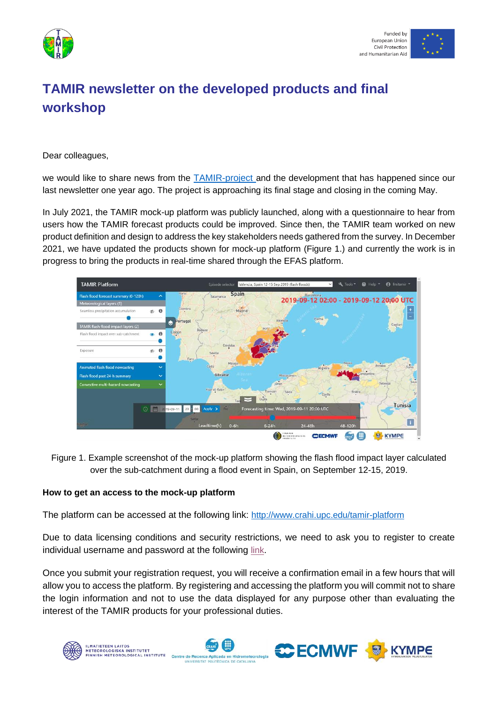



# **TAMIR newsletter on the developed products and final workshop**

Dear colleagues,

we would like to share news from the [TAMIR-project](http://www.tamir-project.eu/) and the development that has happened since our last newsletter one year ago. The project is approaching its final stage and closing in the coming May.

In July 2021, the TAMIR mock-up platform was publicly launched, along with a questionnaire to hear from users how the TAMIR forecast products could be improved. Since then, the TAMIR team worked on new product definition and design to address the key stakeholders needs gathered from the survey. In December 2021, we have updated the products shown for mock-up platform (Figure 1.) and currently the work is in progress to bring the products in real-time shared through the EFAS platform.



Figure 1. Example screenshot of the mock-up platform showing the flash flood impact layer calculated over the sub-catchment during a flood event in Spain, on September 12-15, 2019.

## **How to get an access to the mock-up platform**

The platform can be accessed at the following link: <http://www.crahi.upc.edu/tamir-platform>

Due to data licensing conditions and security restrictions, we need to ask you to register to create individual username and password at the following [link](http://crahi.upc.edu/tamir-platform-register/).

Once you submit your registration request, you will receive a confirmation email in a few hours that will allow you to access the platform. By registering and accessing the platform you will commit not to share the login information and not to use the data displayed for any purpose other than evaluating the interest of the TAMIR products for your professional duties.

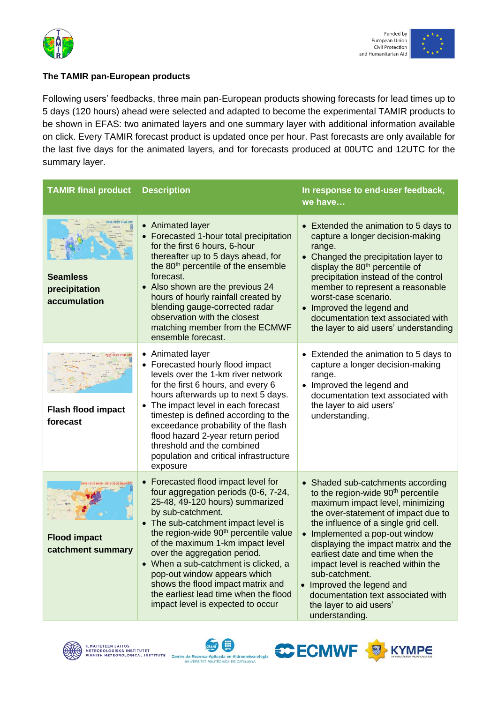



# **The TAMIR pan-European products**

Following users' feedbacks, three main pan-European products showing forecasts for lead times up to 5 days (120 hours) ahead were selected and adapted to become the experimental TAMIR products to be shown in [EFAS:](http://www.efas.eu/) two animated layers and one summary layer with additional information available on click. Every TAMIR forecast product is updated once per hour. Past forecasts are only available for the last five days for the animated layers, and for forecasts produced at 00UTC and 12UTC for the summary layer.

| <b>TAMIR final product</b>                       | <b>Description</b>                                                                                                                                                                                                                                                                                                                                                                                                                                                                                        | In response to end-user feedback,<br>we have                                                                                                                                                                                                                                                                                                                                                                                                                                                |
|--------------------------------------------------|-----------------------------------------------------------------------------------------------------------------------------------------------------------------------------------------------------------------------------------------------------------------------------------------------------------------------------------------------------------------------------------------------------------------------------------------------------------------------------------------------------------|---------------------------------------------------------------------------------------------------------------------------------------------------------------------------------------------------------------------------------------------------------------------------------------------------------------------------------------------------------------------------------------------------------------------------------------------------------------------------------------------|
| <b>Seamless</b><br>precipitation<br>accumulation | • Animated layer<br>• Forecasted 1-hour total precipitation<br>for the first 6 hours, 6-hour<br>thereafter up to 5 days ahead, for<br>the 80 <sup>th</sup> percentile of the ensemble<br>forecast.<br>• Also shown are the previous 24<br>hours of hourly rainfall created by<br>blending gauge-corrected radar<br>observation with the closest<br>matching member from the ECMWF<br>ensemble forecast.                                                                                                   | • Extended the animation to 5 days to<br>capture a longer decision-making<br>range.<br>Changed the precipitation layer to<br>display the 80 <sup>th</sup> percentile of<br>precipitation instead of the control<br>member to represent a reasonable<br>worst-case scenario.<br>Improved the legend and<br>documentation text associated with<br>the layer to aid users' understanding                                                                                                       |
| <b>Flash flood impact</b><br>forecast            | • Animated layer<br>Forecasted hourly flood impact<br>levels over the 1-km river network<br>for the first 6 hours, and every 6<br>hours afterwards up to next 5 days.<br>The impact level in each forecast<br>timestep is defined according to the<br>exceedance probability of the flash<br>flood hazard 2-year return period<br>threshold and the combined<br>population and critical infrastructure<br>exposure                                                                                        | Extended the animation to 5 days to<br>$\bullet$<br>capture a longer decision-making<br>range.<br>• Improved the legend and<br>documentation text associated with<br>the layer to aid users'<br>understanding.                                                                                                                                                                                                                                                                              |
| <b>Flood impact</b><br>catchment summary         | Forecasted flood impact level for<br>$\bullet$<br>four aggregation periods (0-6, 7-24,<br>25-48, 49-120 hours) summarized<br>by sub-catchment.<br>• The sub-catchment impact level is<br>the region-wide 90 <sup>th</sup> percentile value<br>of the maximum 1-km impact level<br>over the aggregation period.<br>• When a sub-catchment is clicked, a<br>pop-out window appears which<br>shows the flood impact matrix and<br>the earliest lead time when the flood<br>impact level is expected to occur | • Shaded sub-catchments according<br>to the region-wide 90 <sup>th</sup> percentile<br>maximum impact level, minimizing<br>the over-statement of impact due to<br>the influence of a single grid cell.<br>• Implemented a pop-out window<br>displaying the impact matrix and the<br>earliest date and time when the<br>impact level is reached within the<br>sub-catchment.<br>• Improved the legend and<br>documentation text associated with<br>the layer to aid users'<br>understanding. |





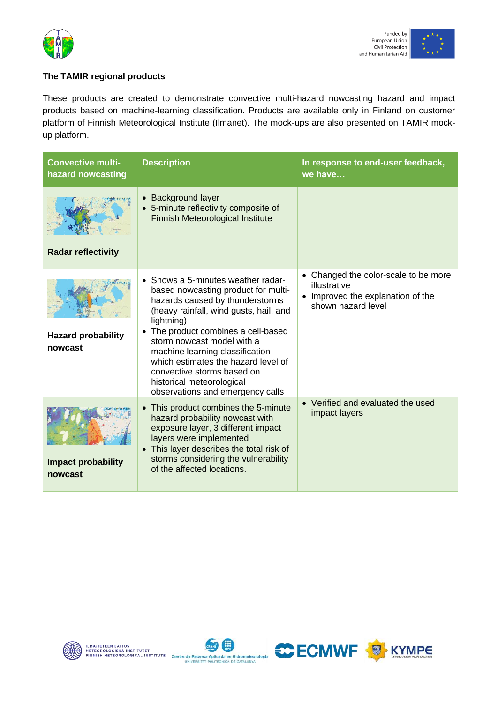



### **The TAMIR regional products**

These products are created to demonstrate convective multi-hazard nowcasting hazard and impact products based on machine-learning classification. Products are available only in Finland on customer platform of Finnish Meteorological Institute (Ilmanet). The mock-ups are also presented on TAMIR mockup platform.

| <b>Convective multi-</b><br>hazard nowcasting | <b>Description</b>                                                                                                                                                                                                                                                                                                                                                                                                 | In response to end-user feedback,<br>we have                                                                    |
|-----------------------------------------------|--------------------------------------------------------------------------------------------------------------------------------------------------------------------------------------------------------------------------------------------------------------------------------------------------------------------------------------------------------------------------------------------------------------------|-----------------------------------------------------------------------------------------------------------------|
| <b>Radar reflectivity</b>                     | • Background layer<br>• 5-minute reflectivity composite of<br>Finnish Meteorological Institute                                                                                                                                                                                                                                                                                                                     |                                                                                                                 |
| <b>Hazard probability</b><br>nowcast          | • Shows a 5-minutes weather radar-<br>based nowcasting product for multi-<br>hazards caused by thunderstorms<br>(heavy rainfall, wind gusts, hail, and<br>lightning)<br>• The product combines a cell-based<br>storm nowcast model with a<br>machine learning classification<br>which estimates the hazard level of<br>convective storms based on<br>historical meteorological<br>observations and emergency calls | • Changed the color-scale to be more<br>illustrative<br>• Improved the explanation of the<br>shown hazard level |
| <b>Impact probability</b><br>nowcast          | This product combines the 5-minute<br>hazard probability nowcast with<br>exposure layer, 3 different impact<br>layers were implemented<br>• This layer describes the total risk of<br>storms considering the vulnerability<br>of the affected locations.                                                                                                                                                           | • Verified and evaluated the used<br>impact layers                                                              |





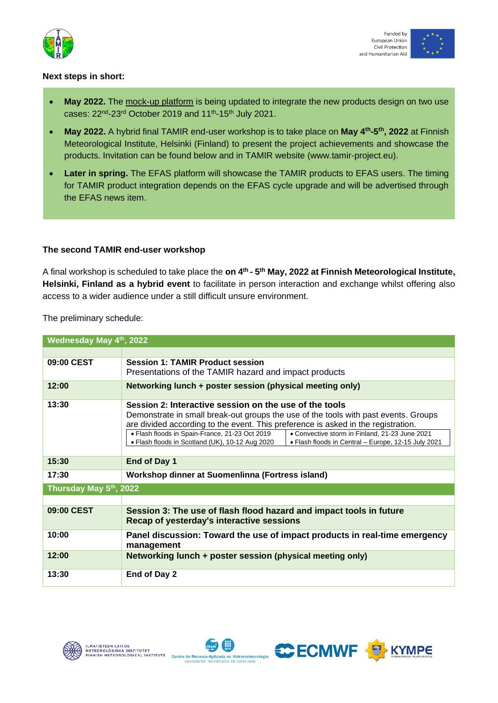



#### **Next steps in short:**

- **May 2022.** The [mock-up platform](http://gebradar.upc.es/tamir-platform) is being updated to integrate the new products design on two use cases: 22<sup>nd</sup>-23<sup>rd</sup> October 2019 and 11<sup>th</sup>-15<sup>th</sup> July 2021.
- **May 2022.** A hybrid final TAMIR end-user workshop is to take place on **May 4th-5 th, 2022** at Finnish Meteorological Institute, Helsinki (Finland) to present the project achievements and showcase the products. Invitation can be found below and in TAMIR website (www.tamir-project.eu).
- **Later in spring.** The EFAS platform will showcase the TAMIR products to EFAS users. The timing for TAMIR product integration depends on the EFAS cycle upgrade and will be advertised through the EFAS news item.

#### **The second TAMIR end-user workshop**

A final workshop is scheduled to take place the **on 4th - 5 th May, 2022 at Finnish Meteorological Institute, Helsinki, Finland as a hybrid event** to facilitate in person interaction and exchange whilst offering also access to a wider audience under a still difficult unsure environment.

The preliminary schedule:

| Wednesday May 4th, 2022 |                                                                                                                                                                                                                                                                                                                                                                                                                                                  |  |
|-------------------------|--------------------------------------------------------------------------------------------------------------------------------------------------------------------------------------------------------------------------------------------------------------------------------------------------------------------------------------------------------------------------------------------------------------------------------------------------|--|
|                         |                                                                                                                                                                                                                                                                                                                                                                                                                                                  |  |
| 09:00 CEST              | <b>Session 1: TAMIR Product session</b><br>Presentations of the TAMIR hazard and impact products                                                                                                                                                                                                                                                                                                                                                 |  |
| 12:00                   | Networking lunch + poster session (physical meeting only)                                                                                                                                                                                                                                                                                                                                                                                        |  |
| 13:30                   | Session 2: Interactive session on the use of the tools<br>Demonstrate in small break-out groups the use of the tools with past events. Groups<br>are divided according to the event. This preference is asked in the registration.<br>• Flash floods in Spain-France, 21-23 Oct 2019<br>• Convective storm in Finland, 21-23 June 2021<br>• Flash floods in Scotland (UK), 10-12 Aug 2020<br>• Flash floods in Central – Europe, 12-15 July 2021 |  |
| 15:30                   | End of Day 1                                                                                                                                                                                                                                                                                                                                                                                                                                     |  |
| 17:30                   | Workshop dinner at Suomenlinna (Fortress island)                                                                                                                                                                                                                                                                                                                                                                                                 |  |
| Thursday May 5th, 2022  |                                                                                                                                                                                                                                                                                                                                                                                                                                                  |  |
|                         |                                                                                                                                                                                                                                                                                                                                                                                                                                                  |  |
| 09:00 CEST              | Session 3: The use of flash flood hazard and impact tools in future<br>Recap of yesterday's interactive sessions                                                                                                                                                                                                                                                                                                                                 |  |
| 10:00                   | Panel discussion: Toward the use of impact products in real-time emergency<br>management                                                                                                                                                                                                                                                                                                                                                         |  |
| 12:00                   | Networking lunch + poster session (physical meeting only)                                                                                                                                                                                                                                                                                                                                                                                        |  |
| 13:30                   | End of Day 2                                                                                                                                                                                                                                                                                                                                                                                                                                     |  |





C ECMWF **B** KYMPE